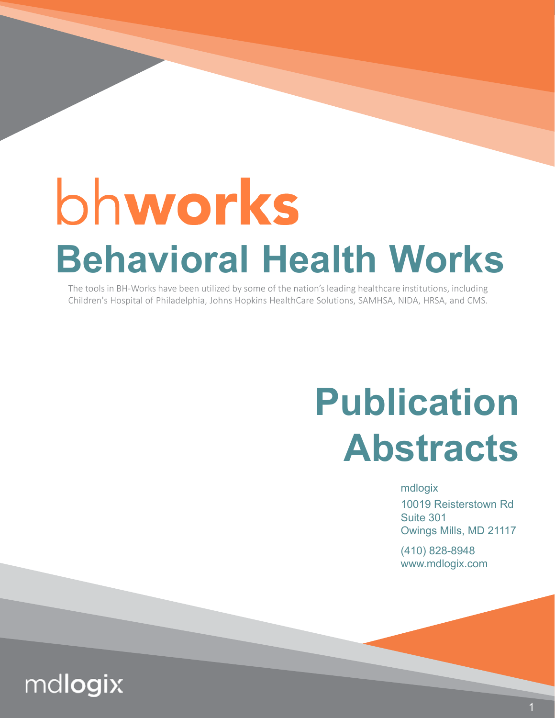# bhworks **Behavioral Health Works**

The tools in BH-Works have been utilized by some of the nation's leading healthcare institutions, including Children's Hospital of Philadelphia, Johns Hopkins HealthCare Solutions, SAMHSA, NIDA, HRSA, and CMS.

## **Publication Abstracts**

mdlogix

10019 Reisterstown Rd Suite 301 Owings Mills, MD 21117

(410) 828-8948 www.mdlogix.com

### mdlogix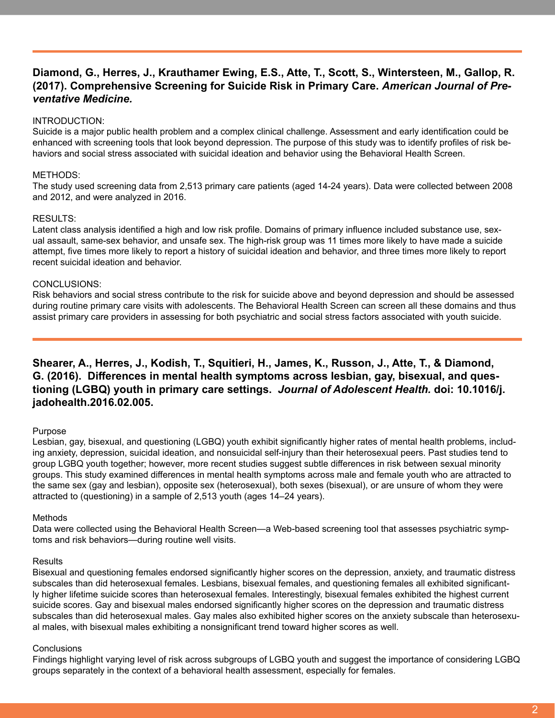#### **Diamond, G., Herres, J., Krauthamer Ewing, E.S., Atte, T., Scott, S., Wintersteen, M., Gallop, R. (2017). Comprehensive Screening for Suicide Risk in Primary Care.** *American Journal of Preventative Medicine.*

#### INTRODUCTION:

Suicide is a major public health problem and a complex clinical challenge. Assessment and early identification could be enhanced with screening tools that look beyond depression. The purpose of this study was to identify profiles of risk behaviors and social stress associated with suicidal ideation and behavior using the Behavioral Health Screen.

#### METHODS:

The study used screening data from 2,513 primary care patients (aged 14-24 years). Data were collected between 2008 and 2012, and were analyzed in 2016.

#### RESULTS:

Latent class analysis identified a high and low risk profile. Domains of primary influence included substance use, sexual assault, same-sex behavior, and unsafe sex. The high-risk group was 11 times more likely to have made a suicide attempt, five times more likely to report a history of suicidal ideation and behavior, and three times more likely to report recent suicidal ideation and behavior.

#### CONCLUSIONS:

Risk behaviors and social stress contribute to the risk for suicide above and beyond depression and should be assessed during routine primary care visits with adolescents. The Behavioral Health Screen can screen all these domains and thus assist primary care providers in assessing for both psychiatric and social stress factors associated with youth suicide.

#### **Shearer, A., Herres, J., Kodish, T., Squitieri, H., James, K., Russon, J., Atte, T., & Diamond, G. (2016). Differences in mental health symptoms across lesbian, gay, bisexual, and questioning (LGBQ) youth in primary care settings.** *Journal of Adolescent Health.* **doi: 10.1016/j. jadohealth.2016.02.005.**

#### Purpose

Lesbian, gay, bisexual, and questioning (LGBQ) youth exhibit significantly higher rates of mental health problems, including anxiety, depression, suicidal ideation, and nonsuicidal self-injury than their heterosexual peers. Past studies tend to group LGBQ youth together; however, more recent studies suggest subtle differences in risk between sexual minority groups. This study examined differences in mental health symptoms across male and female youth who are attracted to the same sex (gay and lesbian), opposite sex (heterosexual), both sexes (bisexual), or are unsure of whom they were attracted to (questioning) in a sample of 2,513 youth (ages 14–24 years).

#### Methods

Data were collected using the Behavioral Health Screen—a Web-based screening tool that assesses psychiatric symptoms and risk behaviors—during routine well visits.

#### Results

Bisexual and questioning females endorsed significantly higher scores on the depression, anxiety, and traumatic distress subscales than did heterosexual females. Lesbians, bisexual females, and questioning females all exhibited significantly higher lifetime suicide scores than heterosexual females. Interestingly, bisexual females exhibited the highest current suicide scores. Gay and bisexual males endorsed significantly higher scores on the depression and traumatic distress subscales than did heterosexual males. Gay males also exhibited higher scores on the anxiety subscale than heterosexual males, with bisexual males exhibiting a nonsignificant trend toward higher scores as well.

#### **Conclusions**

Findings highlight varying level of risk across subgroups of LGBQ youth and suggest the importance of considering LGBQ groups separately in the context of a behavioral health assessment, especially for females.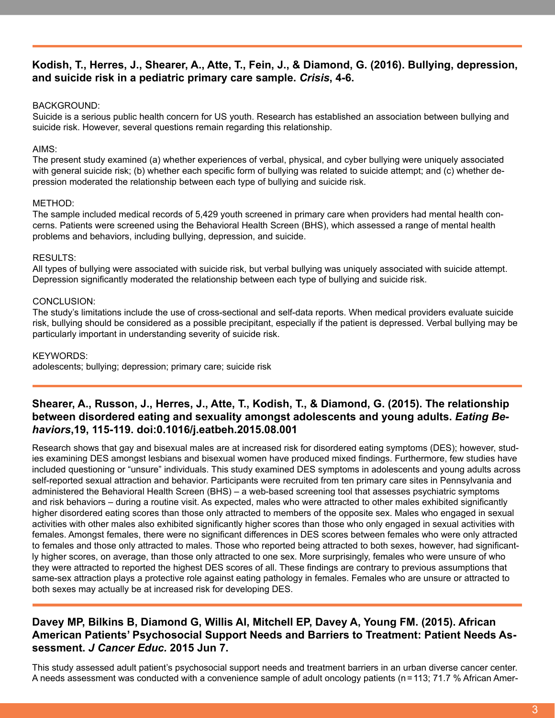#### **Kodish, T., Herres, J., Shearer, A., Atte, T., Fein, J., & Diamond, G. (2016). Bullying, depression, and suicide risk in a pediatric primary care sample.** *Crisis***, 4-6.**

#### BACKGROUND:

Suicide is a serious public health concern for US youth. Research has established an association between bullying and suicide risk. However, several questions remain regarding this relationship.

#### AIMS:

The present study examined (a) whether experiences of verbal, physical, and cyber bullying were uniquely associated with general suicide risk; (b) whether each specific form of bullying was related to suicide attempt; and (c) whether depression moderated the relationship between each type of bullying and suicide risk.

#### METHOD:

The sample included medical records of 5,429 youth screened in primary care when providers had mental health concerns. Patients were screened using the Behavioral Health Screen (BHS), which assessed a range of mental health problems and behaviors, including bullying, depression, and suicide.

#### RESULTS:

All types of bullying were associated with suicide risk, but verbal bullying was uniquely associated with suicide attempt. Depression significantly moderated the relationship between each type of bullying and suicide risk.

#### CONCLUSION:

The study's limitations include the use of cross-sectional and self-data reports. When medical providers evaluate suicide risk, bullying should be considered as a possible precipitant, especially if the patient is depressed. Verbal bullying may be particularly important in understanding severity of suicide risk.

#### KEYWORDS:

adolescents; bullying; depression; primary care; suicide risk

#### **Shearer, A., Russon, J., Herres, J., Atte, T., Kodish, T., & Diamond, G. (2015). The relationship between disordered eating and sexuality amongst adolescents and young adults.** *Eating Behaviors***,19, 115-119. doi:0.1016/j.eatbeh.2015.08.001**

Research shows that gay and bisexual males are at increased risk for disordered eating symptoms (DES); however, studies examining DES amongst lesbians and bisexual women have produced mixed findings. Furthermore, few studies have included questioning or "unsure" individuals. This study examined DES symptoms in adolescents and young adults across self-reported sexual attraction and behavior. Participants were recruited from ten primary care sites in Pennsylvania and administered the Behavioral Health Screen (BHS) – a web-based screening tool that assesses psychiatric symptoms and risk behaviors – during a routine visit. As expected, males who were attracted to other males exhibited significantly higher disordered eating scores than those only attracted to members of the opposite sex. Males who engaged in sexual activities with other males also exhibited significantly higher scores than those who only engaged in sexual activities with females. Amongst females, there were no significant differences in DES scores between females who were only attracted to females and those only attracted to males. Those who reported being attracted to both sexes, however, had significantly higher scores, on average, than those only attracted to one sex. More surprisingly, females who were unsure of who they were attracted to reported the highest DES scores of all. These findings are contrary to previous assumptions that same-sex attraction plays a protective role against eating pathology in females. Females who are unsure or attracted to both sexes may actually be at increased risk for developing DES.

#### **Davey MP, Bilkins B, Diamond G, Willis AI, Mitchell EP, Davey A, Young FM. (2015). African American Patients' Psychosocial Support Needs and Barriers to Treatment: Patient Needs Assessment.** *J Cancer Educ.* **2015 Jun 7.**

This study assessed adult patient's psychosocial support needs and treatment barriers in an urban diverse cancer center. A needs assessment was conducted with a convenience sample of adult oncology patients (n=113; 71.7 % African Amer-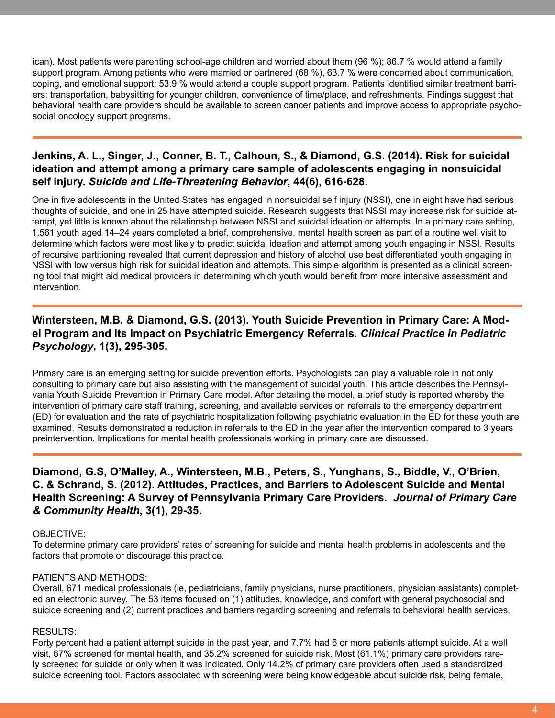ican). Most patients were parenting school-age children and worried about them (96 %); 86.7 % would attend a family support program. Among patients who were married or partnered (68 %), 63.7 % were concerned about communication, coping, and emotional support; 53.9 % would attend a couple support program. Patients identified similar treatment barriers: transportation, babysitting for younger children, convenience of time/place, and refreshments. Findings suggest that behavioral health care providers should be available to screen cancer patients and improve access to appropriate psychosocial oncology support programs.

#### **Jenkins, A. L., Singer, J., Conner, B. T., Calhoun, S., & Diamond, G.S. (2014). Risk for suicidal ideation and attempt among a primary care sample of adolescents engaging in nonsuicidal self injury.** *Suicide and Life-Threatening Behavior***, 44(6), 616-628.**

One in five adolescents in the United States has engaged in nonsuicidal self injury (NSSI), one in eight have had serious thoughts of suicide, and one in 25 have attempted suicide. Research suggests that NSSI may increase risk for suicide attempt, yet little is known about the relationship between NSSI and suicidal ideation or attempts. In a primary care setting, 1,561 youth aged 14–24 years completed a brief, comprehensive, mental health screen as part of a routine well visit to determine which factors were most likely to predict suicidal ideation and attempt among youth engaging in NSSI. Results of recursive partitioning revealed that current depression and history of alcohol use best differentiated youth engaging in NSSI with low versus high risk for suicidal ideation and attempts. This simple algorithm is presented as a clinical screening tool that might aid medical providers in determining which youth would benefit from more intensive assessment and intervention.

#### **Wintersteen, M.B. & Diamond, G.S. (2013). Youth Suicide Prevention in Primary Care: A Model Program and Its Impact on Psychiatric Emergency Referrals.** *Clinical Practice in Pediatric Psychology***, 1(3), 295-305.**

Primary care is an emerging setting for suicide prevention efforts. Psychologists can play a valuable role in not only consulting to primary care but also assisting with the management of suicidal youth. This article describes the Pennsylvania Youth Suicide Prevention in Primary Care model. After detailing the model, a brief study is reported whereby the intervention of primary care staff training, screening, and available services on referrals to the emergency department (ED) for evaluation and the rate of psychiatric hospitalization following psychiatric evaluation in the ED for these youth are examined. Results demonstrated a reduction in referrals to the ED in the year after the intervention compared to 3 years preintervention. Implications for mental health professionals working in primary care are discussed.

#### **Diamond, G.S, O'Malley, A., Wintersteen, M.B., Peters, S., Yunghans, S., Biddle, V., O'Brien, C. & Schrand, S. (2012). Attitudes, Practices, and Barriers to Adolescent Suicide and Mental Health Screening: A Survey of Pennsylvania Primary Care Providers.** *Journal of Primary Care & Community Health***, 3(1), 29-35.**

#### OBJECTIVE:

To determine primary care providers' rates of screening for suicide and mental health problems in adolescents and the factors that promote or discourage this practice.

#### PATIENTS AND METHODS:

Overall, 671 medical professionals (ie, pediatricians, family physicians, nurse practitioners, physician assistants) completed an electronic survey. The 53 items focused on (1) attitudes, knowledge, and comfort with general psychosocial and suicide screening and (2) current practices and barriers regarding screening and referrals to behavioral health services.

#### RESULTS:

Forty percent had a patient attempt suicide in the past year, and 7.7% had 6 or more patients attempt suicide. At a well visit, 67% screened for mental health, and 35.2% screened for suicide risk. Most (61.1%) primary care providers rarely screened for suicide or only when it was indicated. Only 14.2% of primary care providers often used a standardized suicide screening tool. Factors associated with screening were being knowledgeable about suicide risk, being female,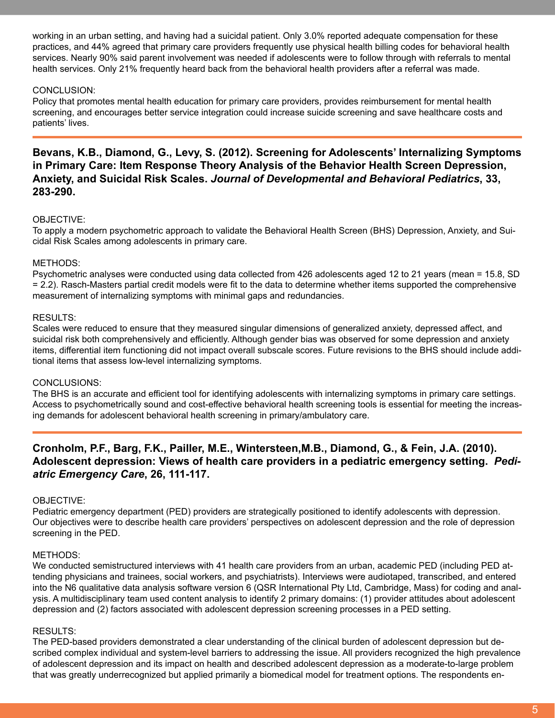working in an urban setting, and having had a suicidal patient. Only 3.0% reported adequate compensation for these practices, and 44% agreed that primary care providers frequently use physical health billing codes for behavioral health services. Nearly 90% said parent involvement was needed if adolescents were to follow through with referrals to mental health services. Only 21% frequently heard back from the behavioral health providers after a referral was made.

#### CONCLUSION:

Policy that promotes mental health education for primary care providers, provides reimbursement for mental health screening, and encourages better service integration could increase suicide screening and save healthcare costs and patients' lives.

**Bevans, K.B., Diamond, G., Levy, S. (2012). Screening for Adolescents' Internalizing Symptoms in Primary Care: Item Response Theory Analysis of the Behavior Health Screen Depression, Anxiety, and Suicidal Risk Scales.** *Journal of Developmental and Behavioral Pediatrics***, 33, 283-290.**

#### OBJECTIVE:

To apply a modern psychometric approach to validate the Behavioral Health Screen (BHS) Depression, Anxiety, and Suicidal Risk Scales among adolescents in primary care.

#### METHODS:

Psychometric analyses were conducted using data collected from 426 adolescents aged 12 to 21 years (mean = 15.8, SD = 2.2). Rasch-Masters partial credit models were fit to the data to determine whether items supported the comprehensive measurement of internalizing symptoms with minimal gaps and redundancies.

#### RESULTS:

Scales were reduced to ensure that they measured singular dimensions of generalized anxiety, depressed affect, and suicidal risk both comprehensively and efficiently. Although gender bias was observed for some depression and anxiety items, differential item functioning did not impact overall subscale scores. Future revisions to the BHS should include additional items that assess low-level internalizing symptoms.

#### CONCLUSIONS:

The BHS is an accurate and efficient tool for identifying adolescents with internalizing symptoms in primary care settings. Access to psychometrically sound and cost-effective behavioral health screening tools is essential for meeting the increasing demands for adolescent behavioral health screening in primary/ambulatory care.

#### **Cronholm, P.F., Barg, F.K., Pailler, M.E., Wintersteen,M.B., Diamond, G., & Fein, J.A. (2010). Adolescent depression: Views of health care providers in a pediatric emergency setting.** *Pediatric Emergency Care***, 26, 111-117.**

#### OBJECTIVE:

Pediatric emergency department (PED) providers are strategically positioned to identify adolescents with depression. Our objectives were to describe health care providers' perspectives on adolescent depression and the role of depression screening in the PED.

#### METHODS:

We conducted semistructured interviews with 41 health care providers from an urban, academic PED (including PED attending physicians and trainees, social workers, and psychiatrists). Interviews were audiotaped, transcribed, and entered into the N6 qualitative data analysis software version 6 (QSR International Pty Ltd, Cambridge, Mass) for coding and analysis. A multidisciplinary team used content analysis to identify 2 primary domains: (1) provider attitudes about adolescent depression and (2) factors associated with adolescent depression screening processes in a PED setting.

#### RESULTS:

The PED-based providers demonstrated a clear understanding of the clinical burden of adolescent depression but described complex individual and system-level barriers to addressing the issue. All providers recognized the high prevalence of adolescent depression and its impact on health and described adolescent depression as a moderate-to-large problem that was greatly underrecognized but applied primarily a biomedical model for treatment options. The respondents en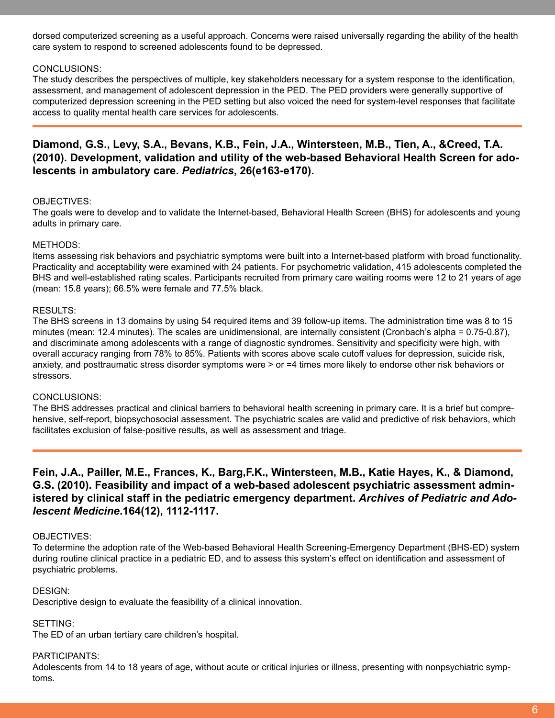dorsed computerized screening as a useful approach. Concerns were raised universally regarding the ability of the health care system to respond to screened adolescents found to be depressed.

#### CONCLUSIONS:

The study describes the perspectives of multiple, key stakeholders necessary for a system response to the identification, assessment, and management of adolescent depression in the PED. The PED providers were generally supportive of computerized depression screening in the PED setting but also voiced the need for system-level responses that facilitate access to quality mental health care services for adolescents.

#### **Diamond, G.S., Levy, S.A., Bevans, K.B., Fein, J.A., Wintersteen, M.B., Tien, A., &Creed, T.A. (2010). Development, validation and utility of the web-based Behavioral Health Screen for adolescents in ambulatory care.** *Pediatrics***, 26(e163-e170).**

#### OBJECTIVES:

The goals were to develop and to validate the Internet-based, Behavioral Health Screen (BHS) for adolescents and young adults in primary care.

#### METHODS:

Items assessing risk behaviors and psychiatric symptoms were built into a Internet-based platform with broad functionality. Practicality and acceptability were examined with 24 patients. For psychometric validation, 415 adolescents completed the BHS and well-established rating scales. Participants recruited from primary care waiting rooms were 12 to 21 years of age (mean: 15.8 years); 66.5% were female and 77.5% black.

#### RESULTS:

The BHS screens in 13 domains by using 54 required items and 39 follow-up items. The administration time was 8 to 15 minutes (mean: 12.4 minutes). The scales are unidimensional, are internally consistent (Cronbach's alpha = 0.75-0.87), and discriminate among adolescents with a range of diagnostic syndromes. Sensitivity and specificity were high, with overall accuracy ranging from 78% to 85%. Patients with scores above scale cutoff values for depression, suicide risk, anxiety, and posttraumatic stress disorder symptoms were > or =4 times more likely to endorse other risk behaviors or stressors.

#### CONCLUSIONS:

The BHS addresses practical and clinical barriers to behavioral health screening in primary care. It is a brief but comprehensive, self-report, biopsychosocial assessment. The psychiatric scales are valid and predictive of risk behaviors, which facilitates exclusion of false-positive results, as well as assessment and triage.

#### **Fein, J.A., Pailler, M.E., Frances, K., Barg,F.K., Wintersteen, M.B., Katie Hayes, K., & Diamond, G.S. (2010). Feasibility and impact of a web-based adolescent psychiatric assessment administered by clinical staff in the pediatric emergency department.** *Archives of Pediatric and Adolescent Medicine***.164(12), 1112-1117.**

#### OBJECTIVES:

To determine the adoption rate of the Web-based Behavioral Health Screening-Emergency Department (BHS-ED) system during routine clinical practice in a pediatric ED, and to assess this system's effect on identification and assessment of psychiatric problems.

#### DESIGN:

Descriptive design to evaluate the feasibility of a clinical innovation.

#### SETTING:

The ED of an urban tertiary care children's hospital.

#### PARTICIPANTS:

Adolescents from 14 to 18 years of age, without acute or critical injuries or illness, presenting with nonpsychiatric symptoms.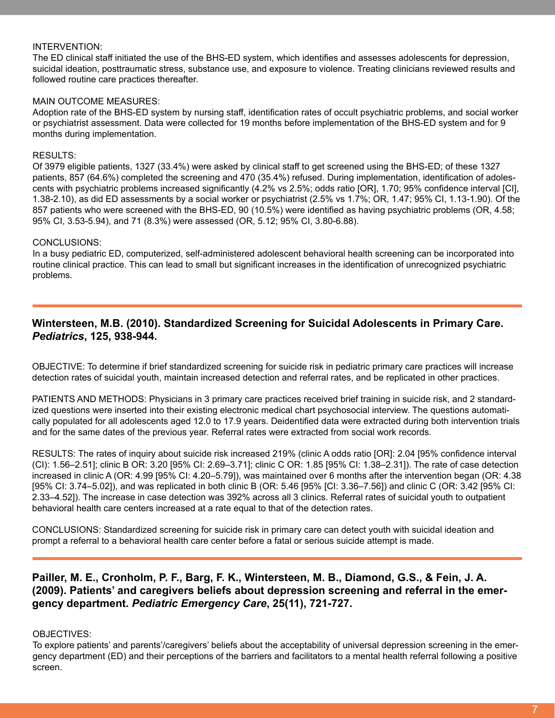#### INTERVENTION:

The ED clinical staff initiated the use of the BHS-ED system, which identifies and assesses adolescents for depression, suicidal ideation, posttraumatic stress, substance use, and exposure to violence. Treating clinicians reviewed results and followed routine care practices thereafter.

#### MAIN OUTCOME MEASURES:

Adoption rate of the BHS-ED system by nursing staff, identification rates of occult psychiatric problems, and social worker or psychiatrist assessment. Data were collected for 19 months before implementation of the BHS-ED system and for 9 months during implementation.

#### RESULTS:

Of 3979 eligible patients, 1327 (33.4%) were asked by clinical staff to get screened using the BHS-ED; of these 1327 patients, 857 (64.6%) completed the screening and 470 (35.4%) refused. During implementation, identification of adolescents with psychiatric problems increased significantly (4.2% vs 2.5%; odds ratio [OR], 1.70; 95% confidence interval [CI], 1.38-2.10), as did ED assessments by a social worker or psychiatrist (2.5% vs 1.7%; OR, 1.47; 95% CI, 1.13-1.90). Of the 857 patients who were screened with the BHS-ED, 90 (10.5%) were identified as having psychiatric problems (OR, 4.58; 95% CI, 3.53-5.94), and 71 (8.3%) were assessed (OR, 5.12; 95% CI, 3.80-6.88).

#### CONCLUSIONS:

In a busy pediatric ED, computerized, self-administered adolescent behavioral health screening can be incorporated into routine clinical practice. This can lead to small but significant increases in the identification of unrecognized psychiatric problems.

#### **Wintersteen, M.B. (2010). Standardized Screening for Suicidal Adolescents in Primary Care.**  *Pediatrics***, 125, 938-944.**

OBJECTIVE: To determine if brief standardized screening for suicide risk in pediatric primary care practices will increase detection rates of suicidal youth, maintain increased detection and referral rates, and be replicated in other practices.

PATIENTS AND METHODS: Physicians in 3 primary care practices received brief training in suicide risk, and 2 standardized questions were inserted into their existing electronic medical chart psychosocial interview. The questions automatically populated for all adolescents aged 12.0 to 17.9 years. Deidentified data were extracted during both intervention trials and for the same dates of the previous year. Referral rates were extracted from social work records.

RESULTS: The rates of inquiry about suicide risk increased 219% (clinic A odds ratio [OR]: 2.04 [95% confidence interval (CI): 1.56–2.51]; clinic B OR: 3.20 [95% CI: 2.69–3.71]; clinic C OR: 1.85 [95% CI: 1.38–2.31]). The rate of case detection increased in clinic A (OR: 4.99 [95% CI: 4.20–5.79]), was maintained over 6 months after the intervention began (OR: 4.38 [95% CI: 3.74–5.02]), and was replicated in both clinic B (OR: 5.46 [95% [CI: 3.36–7.56]) and clinic C (OR: 3.42 [95% CI: 2.33–4.52]). The increase in case detection was 392% across all 3 clinics. Referral rates of suicidal youth to outpatient behavioral health care centers increased at a rate equal to that of the detection rates.

CONCLUSIONS: Standardized screening for suicide risk in primary care can detect youth with suicidal ideation and prompt a referral to a behavioral health care center before a fatal or serious suicide attempt is made.

#### **Pailler, M. E., Cronholm, P. F., Barg, F. K., Wintersteen, M. B., Diamond, G.S., & Fein, J. A. (2009). Patients' and caregivers beliefs about depression screening and referral in the emergency department.** *Pediatric Emergency Care***, 25(11), 721-727.**

#### OBJECTIVES:

To explore patients' and parents'/caregivers' beliefs about the acceptability of universal depression screening in the emergency department (ED) and their perceptions of the barriers and facilitators to a mental health referral following a positive screen.